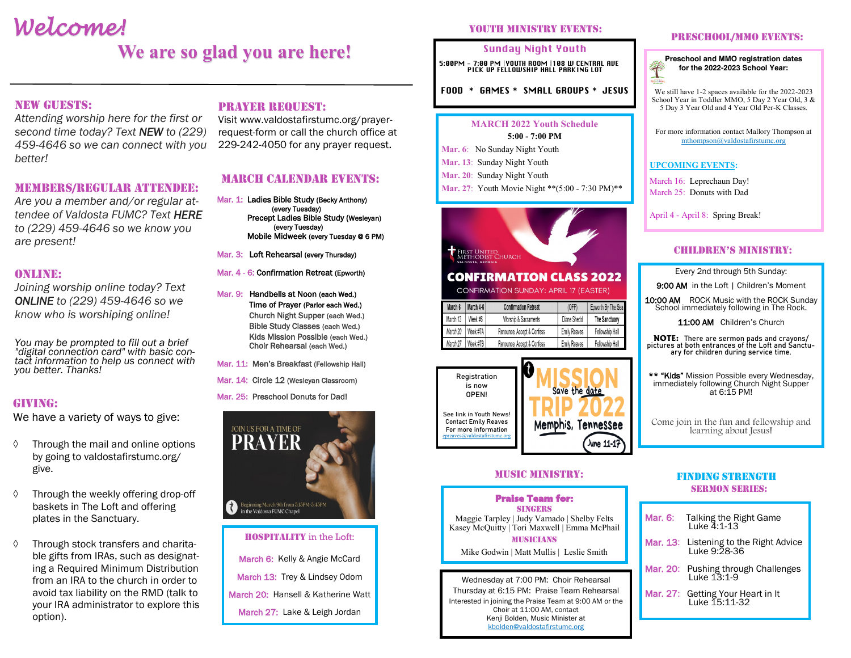# *Welcome!*

# **We are so glad you are here!**

# New Guests:

*Attending worship here for the first or second time today? Text NEW to (229) 459-4646 so we can connect with you better!*

#### Members/regular attendee:

*Are you a member and/or regular attendee of Valdosta FUMC? Text HERE to (229) 459-4646 so we know you are present!*

# ONLINE:

*Joining worship online today? Text ONLINE to (229) 459-4646 so we know who is worshiping online!*

*You may be prompted to fill out a brief "digital connection card" with basic contact information to help us connect with you better. Thanks!* 

# GIVING:

We have a variety of ways to give:

- $\Diamond$  Through the mail and online options by going to valdostafirstumc.org/ give.
- Through the weekly offering drop-off baskets in The Loft and offering plates in the Sanctuary.
- $\Diamond$  Through stock transfers and charitable gifts from IRAs, such as designating a Required Minimum Distribution from an IRA to the church in order to avoid tax liability on the RMD (talk to your IRA administrator to explore this option).

# Prayer Request:

Visit www.valdostafirstumc.org/prayerrequest-form or call the church office at 229-242-4050 for any prayer request.

# MARCH calendar Events:

- Mar. 1: Ladies Bible Study (Becky Anthony) (every Tuesday) Precept Ladies Bible Study (Wesleyan) (every Tuesday) Mobile Midweek (every Tuesday @ 6 PM)
- Mar. 3: Loft Rehearsal (every Thursday)
- Mar. 4 6: Confirmation Retreat (Epworth)
- Mar. 9: Handbells at Noon (each Wed.) Time of Prayer (Parlor each Wed.) Church Night Supper (each Wed.) Bible Study Classes (each Wed.) Kids Mission Possible (each Wed.) Choir Rehearsal (each Wed.)
- Mar. 11: Men's Breakfast (Fellowship Hall)
- Mar. 14: Circle 12 (Wesleyan Classroom)
- Mar. 25: Preschool Donuts for Dad!



#### **HOSPITALITY** in the Loft:

March 6: Kelly & Angie McCard March 13: Trey & Lindsey Odom March 20: Hansell & Katherine Watt March 27: Lake & Leigh Jordan

# YOUTH MINISTRY EVENTS:

#### Sunday Night Youth

5:00PM - 7:00 PM |YOUTH ROOM |108 W CENTRAL AVE PICK UP FELLOWSHIP HALL PARKING LOT

FOOD \* GAMES \* SMALL GROUPS \* JESUS

#### **MARCH 2022 Youth Schedule 5:00 - 7:00 PM**

- **Mar. 6**: No Sunday Night Youth
- **Mar. 13**: Sunday Night Youth
- **Mar. 20**: Sunday Night Youth
- **Mar. 27**: Youth Movie Night \*\*(5:00 7:30 PM)\*\*



#### **CONFIRMATION CLASS 2022 CONFIRMATION SUNDAY: APRIL 17 (EASTER)**

| March 6  | March 4-6 | <b>Confirmation Retreat</b> | (OFF)               | Eoworth By The Sea |
|----------|-----------|-----------------------------|---------------------|--------------------|
| March 13 | Week #6   | Worship & Sacraments        | Diane Shedd         | The Sanctuary      |
| March 20 | Week #7A  | Renounce, Accept & Confess  | <b>Emily Reaves</b> | Fellowship Hall    |
| March 27 | Week #7B  | Renounce, Accept & Confess  | <b>Emily Reaves</b> | Fellowship Hall    |



#### Music ministry:

#### Praise Team for: Singers Maggie Tarpley | Judy Varnado | Shelby Felts Kasey McQuitty | Tori Maxwell | Emma McPhail Musicians Mike Godwin | Matt Mullis | Leslie Smith

Wednesday at 7:00 PM: Choir Rehearsal Thursday at 6:15 PM: Praise Team Rehearsal Interested in joining the Praise Team at 9:00 AM or the Choir at 11:00 AM, contact Kenji Bolden, Music Minister at kbolden@valdostafirstumc.org

# PRESCHOOL/MMO EVENTS:



We still have 1-2 spaces available for the 2022-2023 School Year in Toddler MMO, 5 Day 2 Year Old, 3 & 5 Day 3 Year Old and 4 Year Old Per-K Classes.

For more information contact Mallory Thompson at mthompson@valdostafirstumc.org

#### **UPCOMING EVENTS:**

March 16: Leprechaun Day! March 25: Donuts with Dad

April 4 - April 8: Spring Break!

# children's ministry:

Every 2nd through 5th Sunday:

9:00 AM in the Loft | Children's Moment

10:00 AM ROCK Music with the ROCK Sunday School immediately following in The Rock.

11:00 AM Children's Church

**NOTE:** There are sermon pads and crayons/ pictures at both entrances of the Loft and Sanctuary for children during service time.

\*\* "Kids" Mission Possible every Wednesday, immediately following Church Night Supper at 6:15 PM!

Come join in the fun and fellowship and learning about Jesus!

#### Finding Strength Sermon series:

| <b>Mar. 6:</b> Talking the Right Game<br>Luke 4:1-13   |
|--------------------------------------------------------|
| Mar. 13: Listening to the Right Advice<br>Luke 9:28-36 |
| Mar. 20: Pushing through Challenges<br>Luke 13:1-9     |
| Mar. 27: Getting Your Heart in It<br>Luke 15:11-32     |